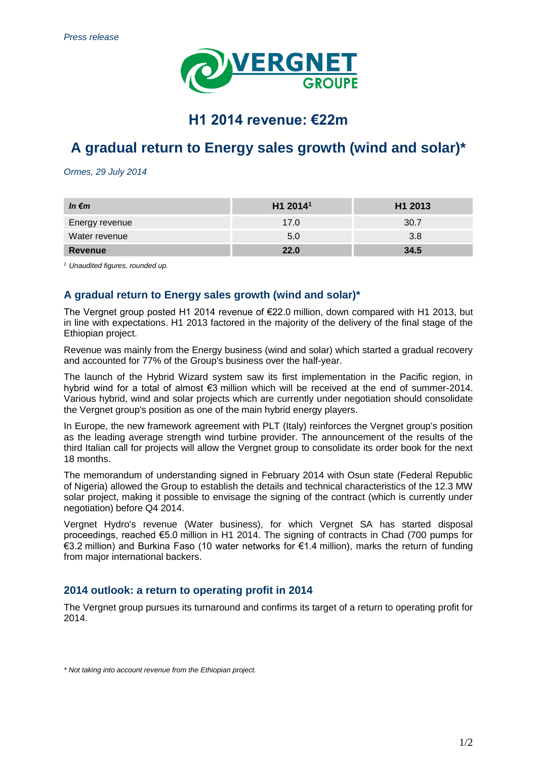

# **H1 2014 revenue: €22m**

# **A gradual return to Energy sales growth (wind and solar)\***

*Ormes, 29 July 2014*

| In $\epsilon$ m | H1 2014 <sup>1</sup> | H1 2013 |
|-----------------|----------------------|---------|
| Energy revenue  | 17.0                 | 30.7    |
| Water revenue   | 5.0                  | 3.8     |
| Revenue         | 22.0                 | 34.5    |

*<sup>1</sup> Unaudited figures, rounded up.*

## **A gradual return to Energy sales growth (wind and solar)\***

The Vergnet group posted H1 2014 revenue of €22.0 million, down compared with H1 2013, but in line with expectations. H1 2013 factored in the majority of the delivery of the final stage of the Ethiopian project.

Revenue was mainly from the Energy business (wind and solar) which started a gradual recovery and accounted for 77% of the Group's business over the half-year.

The launch of the Hybrid Wizard system saw its first implementation in the Pacific region, in hybrid wind for a total of almost €3 million which will be received at the end of summer-2014. Various hybrid, wind and solar projects which are currently under negotiation should consolidate the Vergnet group's position as one of the main hybrid energy players.

In Europe, the new framework agreement with PLT (Italy) reinforces the Vergnet group's position as the leading average strength wind turbine provider. The announcement of the results of the third Italian call for projects will allow the Vergnet group to consolidate its order book for the next 18 months.

The memorandum of understanding signed in February 2014 with Osun state (Federal Republic of Nigeria) allowed the Group to establish the details and technical characteristics of the 12.3 MW solar project, making it possible to envisage the signing of the contract (which is currently under negotiation) before Q4 2014.

Vergnet Hydro's revenue (Water business), for which Vergnet SA has started disposal proceedings, reached €5.0 million in H1 2014. The signing of contracts in Chad (700 pumps for €3.2 million) and Burkina Faso (10 water networks for €1.4 million), marks the return of funding from major international backers.

## **2014 outlook: a return to operating profit in 2014**

The Vergnet group pursues its turnaround and confirms its target of a return to operating profit for 2014.

*\* Not taking into account revenue from the Ethiopian project.*